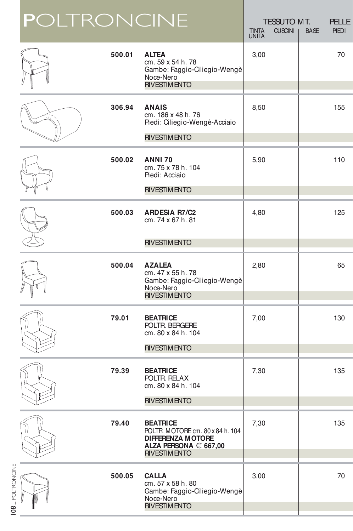|                  | <b>POLTRONCINE</b> |        |                                                                                                                                     | <b>TINTA</b><br><b>UNITA</b> | <b>TESSUTO MT.</b><br><b>CUSCINI</b> | <b>BASE</b> | <b>PELLE</b><br><b>PIEDI</b> |
|------------------|--------------------|--------|-------------------------------------------------------------------------------------------------------------------------------------|------------------------------|--------------------------------------|-------------|------------------------------|
|                  |                    | 500.01 | <b>ALTEA</b><br>cm. 59 x 54 h. 78<br>Gambe: Faggio-Ciliegio-Wengè<br>Noce-Nero<br><b>RIVESTIM ENTO</b>                              | 3,00                         |                                      |             | 70                           |
|                  |                    | 306.94 | <b>ANAIS</b><br>cm. 186 x 48 h. 76<br>Piedi: Ciliegio-Wengè-Acciaio<br><b>RIVESTIMENTO</b>                                          | 8,50                         |                                      |             | 155                          |
|                  |                    | 500.02 | <b>ANNI 70</b><br>cm. 75 x 78 h. 104<br>Piedi: Acciaio                                                                              | 5,90                         |                                      |             | 110                          |
|                  |                    | 500.03 | <b>RIVESTIMENTO</b><br><b>ARDESIA R7/C2</b><br>cm. 74 x 67 h. 81                                                                    | 4,80                         |                                      |             | 125                          |
|                  |                    |        | <b>RIVESTIM ENTO</b>                                                                                                                |                              |                                      |             |                              |
|                  |                    | 500.04 | <b>AZALEA</b><br>cm. 47 x 55 h. 78<br>Gambe: Faggio-Ciliegio-Wengè<br>Noce-Nero<br><b>RIVESTIMENTO</b>                              | 2,80                         |                                      |             | 65                           |
|                  |                    | 79.01  | <b>BEATRICE</b><br>POLTR. BERGERE<br>cm. 80 x 84 h. 104                                                                             | 7,00                         |                                      |             | 130                          |
|                  |                    |        | <b>RIVESTIMENTO</b>                                                                                                                 |                              |                                      |             |                              |
|                  |                    | 79.39  | <b>BEATRICE</b><br>POLTR. RELAX<br>cm. 80 x 84 h. 104                                                                               | 7,30                         |                                      |             | 135                          |
|                  |                    |        | <b>RIVESTIMENTO</b>                                                                                                                 |                              |                                      |             |                              |
|                  |                    | 79.40  | <b>BEATRICE</b><br>POLTR. MOTORE cm. 80 x 84 h. 104<br><b>DIFFERENZA MOTORE</b><br>ALZA PERSONA $\in$ 667,00<br><b>RIVESTIMENTO</b> | 7,30                         |                                      |             | 135                          |
| 08 _ POLTRONCINE |                    | 500.05 | <b>CALLA</b><br>cm. 57 x 58 h. 80<br>Gambe: Faggio-Ciliegio-Wengè<br>Noce-Nero<br><b>RIVESTIMENTO</b>                               | 3,00                         |                                      |             | 70                           |
|                  |                    |        |                                                                                                                                     |                              |                                      |             |                              |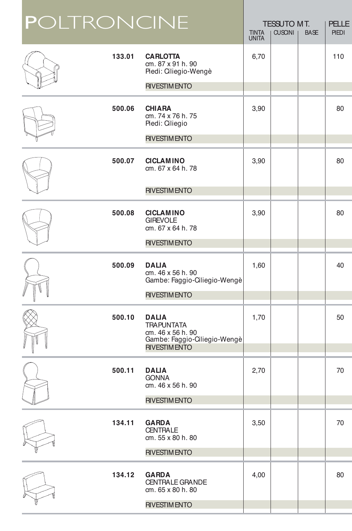|  | <b>POLTRONCINE</b> |                                                                                                               | <b>TINTA</b><br><b>UNITA</b> | <b>TESSUTO MT.</b><br><b>CUSCINI</b> | <b>BASE</b> | <b>PELLE</b><br><b>PIEDI</b> |
|--|--------------------|---------------------------------------------------------------------------------------------------------------|------------------------------|--------------------------------------|-------------|------------------------------|
|  | 133.01             | <b>CARLOTTA</b><br>cm. 87 x 91 h. 90<br>Piedi: Ciliegio-Wengè                                                 | 6,70                         |                                      |             | 110                          |
|  |                    | <b>RIVESTIM ENTO</b>                                                                                          |                              |                                      |             |                              |
|  | 500.06             | <b>CHIARA</b><br>cm. 74 x 76 h. 75<br>Piedi: Ciliegio                                                         | 3,90                         |                                      |             | 80                           |
|  |                    | <b>RIVESTIMENTO</b>                                                                                           |                              |                                      |             |                              |
|  | 500.07             | <b>CICLAMINO</b><br>cm. 67 x 64 h. 78                                                                         | 3,90                         |                                      |             | 80                           |
|  |                    | <b>RIVESTIMENTO</b>                                                                                           |                              |                                      |             |                              |
|  | 500.08             | <b>CICLAMINO</b><br><b>GIREVOLE</b><br>cm. 67 x 64 h. 78                                                      | 3,90                         |                                      |             | 80                           |
|  |                    | <b>RIVESTIMENTO</b>                                                                                           |                              |                                      |             |                              |
|  | 500.09             | <b>DALIA</b><br>cm. 46 x 56 h. 90<br>Gambe: Faggio-Ciliegio-Wengè<br><b>RIVESTIM ENTO</b>                     | 1,60                         |                                      |             | 40                           |
|  | 500.10             | <b>DALIA</b><br><b>TRAPUNTATA</b><br>cm. 46 x 56 h. 90<br>Gambe: Faggio-Ciliegio-Wengè<br><b>RIVESTIMENTO</b> | 1,70                         |                                      |             | 50                           |
|  | 500.11             | <b>DALIA</b><br><b>GONNA</b><br>cm. 46 x 56 h. 90<br><b>RIVESTIMENTO</b>                                      | 2,70                         |                                      |             | 70                           |
|  |                    |                                                                                                               |                              |                                      |             |                              |
|  | 134.11             | <b>GARDA</b><br><b>CENTRALE</b><br>cm. 55 x 80 h. 80                                                          | 3,50                         |                                      |             | 70                           |
|  |                    | <b>RIVESTIM ENTO</b>                                                                                          |                              |                                      |             |                              |
|  | 134.12             | <b>GARDA</b><br><b>CENTRALE GRANDE</b><br>cm. 65 x 80 h. 80                                                   | 4,00                         |                                      |             | 80                           |
|  |                    | <b>RIVESTIM ENTO</b>                                                                                          |                              |                                      |             |                              |
|  |                    |                                                                                                               |                              |                                      |             |                              |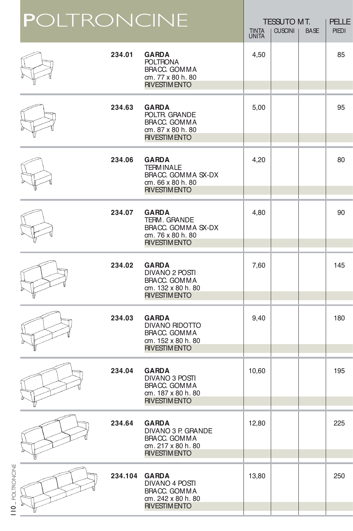|                             | <b>POLTRONCINE</b> |         |                                                                                                     | <b>TINTA</b><br><b>UNITA</b> | <b>TESSUTO MT.</b><br><b>CUSCINI</b> | <b>BASE</b> | <b>PELLE</b><br><b>PIEDI</b> |
|-----------------------------|--------------------|---------|-----------------------------------------------------------------------------------------------------|------------------------------|--------------------------------------|-------------|------------------------------|
|                             |                    | 234.01  | <b>GARDA</b><br><b>POLTRONA</b><br>BRACC. GOMMA<br>cm. 77 x 80 h. 80<br><b>RIVESTIMENTO</b>         | 4,50                         |                                      |             | 85                           |
|                             |                    | 234.63  | <b>GARDA</b><br>POLTR. GRANDE<br>BRACC, GOMMA<br>cm. 87 x 80 h. 80<br><b>RIVESTIMENTO</b>           | 5,00                         |                                      |             | 95                           |
|                             |                    | 234.06  | <b>GARDA</b><br><b>TERMINALE</b><br>BRACC. GOMMA SX-DX<br>cm. 66 x 80 h. 80<br><b>RIVESTIMENTO</b>  | 4,20                         |                                      |             | 80                           |
|                             |                    | 234.07  | <b>GARDA</b><br>TERM. GRANDE<br>BRACC, GOMMA SX-DX<br>cm. 76 x 80 h. 80<br><b>RIVESTIMENTO</b>      | 4,80                         |                                      |             | 90                           |
|                             |                    | 234.02  | <b>GARDA</b><br>DIVANO 2 POSTI<br>BRACC. GOMMA<br>cm. 132 x 80 h. 80<br><b>RIVESTIMENTO</b>         | 7,60                         |                                      |             | 145                          |
|                             |                    | 234.03  | <b>GARDA</b><br><b>DIVANO RIDOTTO</b><br>BRACC, GOMMA<br>cm. 152 x 80 h. 80<br><b>RIVESTIMENTO</b>  | 9,40                         |                                      |             | 180                          |
|                             |                    | 234.04  | <b>GARDA</b><br>DIVANO 3 POSTI<br>BRACC. GOMMA<br>cm. 187 x 80 h. 80<br><b>RIVESTIM ENTO</b>        | 10,60                        |                                      |             | 195                          |
|                             |                    | 234.64  | <b>GARDA</b><br>DIVANO 3 P. GRANDE<br>BRACC. GOMMA<br>cm. 217 x 80 h. 80<br><b>RIVESTIMENTO</b>     | 12,80                        |                                      |             | 225                          |
| 110 <sub>-POLIRONCINE</sub> |                    | 234.104 | <b>GARDA</b><br><b>DIVANO 4 POSTI</b><br>BRACC. GOMMA<br>cm. 242 x 80 h. 80<br><b>RIVESTIM ENTO</b> | 13,80                        |                                      |             | 250                          |
|                             |                    |         |                                                                                                     |                              |                                      |             |                              |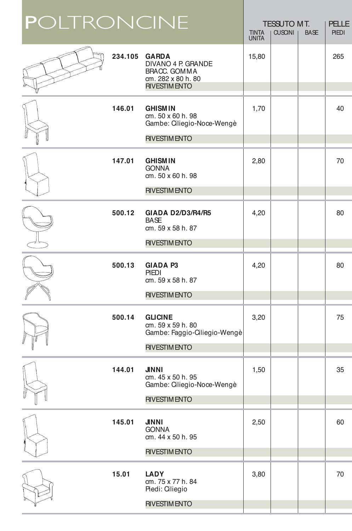| <b>POLTRONCINE</b> |         |                                                                                                 | <b>TINTA</b><br><b>UNITA</b> | <b>TESSUTO MT.</b><br><b>CUSCINI</b> | <b>BASE</b> | <b>PELLE</b><br><b>PIEDI</b> |
|--------------------|---------|-------------------------------------------------------------------------------------------------|------------------------------|--------------------------------------|-------------|------------------------------|
|                    | 234.105 | <b>GARDA</b><br>DIVANO 4 P. GRANDE<br>BRACC. GOMMA<br>cm. 282 x 80 h. 80<br><b>RIVESTIMENTO</b> | 15,80                        |                                      |             | 265                          |
|                    | 146.01  | <b>GHISMIN</b><br>cm. 50 x 60 h. 98<br>Gambe: Ciliegio-Noce-Wengè                               | 1,70                         |                                      |             | 40                           |
|                    |         | <b>RIVESTIMENTO</b>                                                                             |                              |                                      |             |                              |
|                    | 147.01  | <b>GHISMIN</b><br><b>GONNA</b><br>cm. 50 x 60 h. 98                                             | 2,80                         |                                      |             | 70                           |
|                    |         | <b>RIVESTIM ENTO</b>                                                                            |                              |                                      |             |                              |
|                    | 500.12  | <b>GIADA D2/D3/R4/R5</b><br><b>BASE</b><br>cm. 59 x 58 h. 87                                    | 4,20                         |                                      |             | 80                           |
|                    |         | <b>RIVESTIMENTO</b>                                                                             |                              |                                      |             |                              |
|                    | 500.13  | <b>GIADA P3</b><br>PIEDI<br>cm. 59 x 58 h. 87<br><b>RIVESTIMENTO</b>                            | 4,20                         |                                      |             | 80                           |
|                    |         |                                                                                                 |                              |                                      |             |                              |
|                    | 500.14  | <b>GLICINE</b><br>cm. 59 x 59 h. 80<br>Gambe: Faggio-Ciliegio-Wengè                             | 3,20                         |                                      |             | 75                           |
|                    |         | <b>RIVESTIMENTO</b>                                                                             |                              |                                      |             |                              |
|                    | 144.01  | <b>JINNI</b><br>cm. 45 x 50 h. 95<br>Gambe: Ciliegio-Noce-Wengè                                 | 1,50                         |                                      |             | 35                           |
|                    |         | <b>RIVESTIM ENTO</b>                                                                            |                              |                                      |             |                              |
|                    | 145.01  | <b>JINNI</b><br><b>GONNA</b><br>cm. 44 x 50 h. 95                                               | 2,50                         |                                      |             | 60                           |
|                    |         | <b>RIVESTIMENTO</b>                                                                             |                              |                                      |             |                              |
|                    | 15.01   | <b>LADY</b><br>cm. 75 x 77 h. 84<br>Piedi: Ciliegio                                             | 3,80                         |                                      |             | 70                           |
|                    |         | <b>RIVESTIMENTO</b>                                                                             |                              |                                      |             |                              |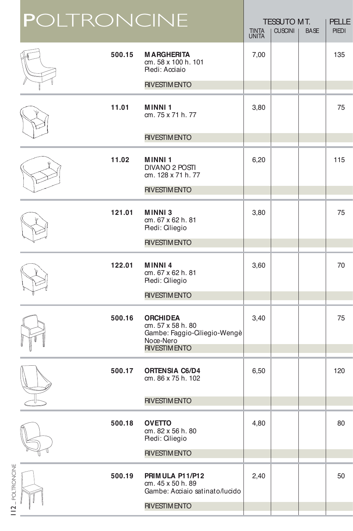|                             | <b>POLTRONCINE</b> |        |                                                                                                          | <b>TINTA</b><br><b>UNITA</b> | <b>TESSUTO MT.</b><br><b>CUSCINI</b> | <b>BASE</b> | <b>PELLE</b><br><b>PIEDI</b> |
|-----------------------------|--------------------|--------|----------------------------------------------------------------------------------------------------------|------------------------------|--------------------------------------|-------------|------------------------------|
|                             |                    | 500.15 | <b>MARGHERITA</b><br>cm. 58 x 100 h. 101<br>Piedi: Acciaio                                               | 7,00                         |                                      |             | 135                          |
|                             |                    |        | <b>RIVESTIM ENTO</b>                                                                                     |                              |                                      |             |                              |
|                             |                    | 11.01  | <b>MINNI1</b><br>cm. 75 x 71 h. 77                                                                       | 3,80                         |                                      |             | 75                           |
|                             |                    |        | <b>RIVESTIM ENTO</b>                                                                                     |                              |                                      |             |                              |
|                             |                    | 11.02  | <b>MINNI1</b><br>DIVANO 2 POSTI<br>cm. 128 x 71 h. 77                                                    | 6,20                         |                                      |             | 115                          |
|                             |                    |        | <b>RIVESTIMENTO</b>                                                                                      |                              |                                      |             |                              |
|                             |                    | 121.01 | <b>MINNI3</b><br>cm. 67 x 62 h. 81<br>Piedi: Ciliegio                                                    | 3,80                         |                                      |             | 75                           |
|                             |                    |        | <b>RIVESTIM ENTO</b>                                                                                     |                              |                                      |             |                              |
|                             |                    | 122.01 | <b>MINNI4</b><br>cm. 67 x 62 h. 81<br>Piedi: Ciliegio                                                    | 3,60                         |                                      |             | 70                           |
|                             |                    |        | <b>RIVESTIMENTO</b>                                                                                      |                              |                                      |             |                              |
|                             |                    | 500.16 | <b>ORCHIDEA</b><br>cm. 57 x 58 h. 80<br>Gambe: Faggio-Ciliegio-Wengè<br>Noce-Nero<br><b>RIVESTIMENTO</b> | 3,40                         |                                      |             | 75                           |
|                             |                    |        |                                                                                                          |                              |                                      |             |                              |
|                             |                    | 500.17 | <b>ORTENSIA C6/D4</b><br>cm. 86 x 75 h. 102                                                              | 6,50                         |                                      |             | 120                          |
|                             |                    |        | <b>RIVESTIM ENTO</b>                                                                                     |                              |                                      |             |                              |
|                             |                    | 500.18 | <b>OVETTO</b><br>cm. 82 x 56 h. 80<br>Piedi: Ciliegio                                                    | 4,80                         |                                      |             | 80                           |
|                             |                    |        | <b>RIVESTIM ENTO</b>                                                                                     |                              |                                      |             |                              |
| 112 <sub>-POLTRONCINE</sub> |                    | 500.19 | PRIMULA P11/P12<br>cm. 45 x 50 h. 89<br>Gambe: Acciaio satinato/lucido                                   | 2,40                         |                                      |             | 50                           |
|                             |                    |        | <b>RIVESTIM ENTO</b>                                                                                     |                              |                                      |             |                              |
|                             |                    |        |                                                                                                          |                              |                                      |             |                              |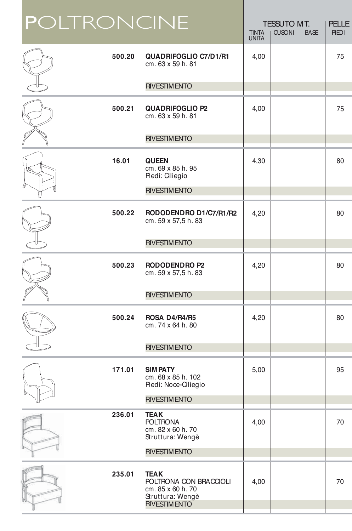| <b>POLTRONCINE</b> |                                                                                                        | <b>TINTA</b><br><b>UNITA</b> | <b>TESSUTO MT.</b><br><b>CUSCINI</b> | <b>BASE</b> | <b>PELLE</b><br><b>PIEDI</b> |
|--------------------|--------------------------------------------------------------------------------------------------------|------------------------------|--------------------------------------|-------------|------------------------------|
| 500.20             | <b>QUADRIFOGLIO C7/D1/R1</b><br>cm. 63 x 59 h. 81                                                      | 4,00                         |                                      |             | 75                           |
|                    | <b>RIVESTIM ENTO</b>                                                                                   |                              |                                      |             |                              |
| 500.21             | <b>QUADRIFOGLIO P2</b><br>cm. 63 x 59 h. 81                                                            | 4,00                         |                                      |             | 75                           |
|                    | <b>RIVESTIM ENTO</b>                                                                                   |                              |                                      |             |                              |
| 16.01              | <b>QUEEN</b><br>cm. 69 x 85 h. 95<br>Piedi: Ciliegio                                                   | 4,30                         |                                      |             | 80                           |
|                    | <b>RIVESTIMENTO</b>                                                                                    |                              |                                      |             |                              |
| 500.22             | RODODENDRO D1/C7/R1/R2<br>cm. 59 x 57,5 h. 83                                                          | 4,20                         |                                      |             | 80                           |
|                    | <b>RIVESTIM ENTO</b>                                                                                   |                              |                                      |             |                              |
| 500.23             | <b>RODODENDRO P2</b><br>cm. 59 x 57,5 h. 83                                                            | 4,20                         |                                      |             | 80                           |
|                    | <b>RIVESTIMENTO</b>                                                                                    |                              |                                      |             |                              |
| 500.24             | ROSA D4/R4/R5<br>cm. 74 x 64 h. 80                                                                     | 4,20                         |                                      |             | 80                           |
|                    | <b>RIVESTIM ENTO</b>                                                                                   |                              |                                      |             |                              |
| 171.01             | <b>SIMPATY</b><br>cm. 68 x 85 h. 102<br>Piedi: Noce-Ciliegio                                           | 5,00                         |                                      |             | 95                           |
|                    | <b>RIVESTIM ENTO</b>                                                                                   |                              |                                      |             |                              |
| 236.01             | <b>TEAK</b><br><b>POLTRONA</b><br>cm. 82 x 60 h. 70<br>Struttura: Wengè                                | 4,00                         |                                      |             | 70                           |
|                    | <b>RIVESTIM ENTO</b>                                                                                   |                              |                                      |             |                              |
| 235.01             | <b>TEAK</b><br>POLTRONA CON BRACCIOLI<br>cm. 85 x 60 h. 70<br>Struttura: Wengè<br><b>RIVESTIM ENTO</b> | 4,00                         |                                      |             | 70                           |
|                    |                                                                                                        |                              |                                      |             |                              |